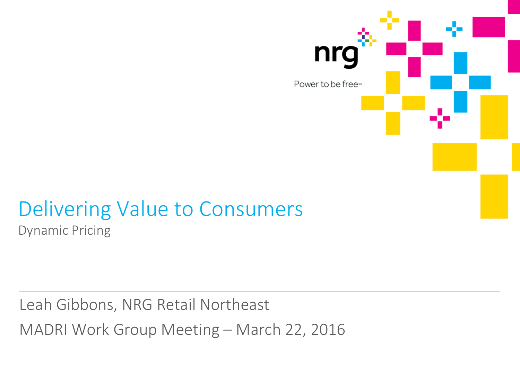

### Delivering Value to Consumers Dynamic Pricing

Leah Gibbons, NRG Retail Northeast MADRI Work Group Meeting – March 22, 2016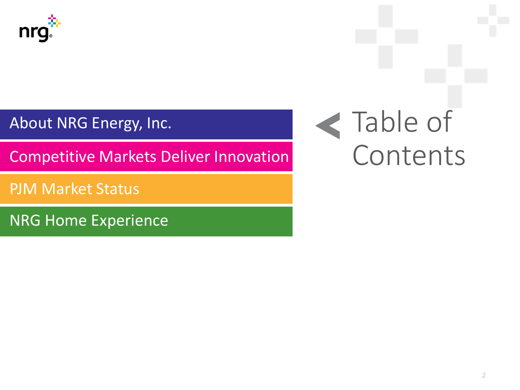

About NRG Energy, Inc.

Competitive Markets Deliver Innovation

PJM Market Status

NRG Home Experience

# Table of Contents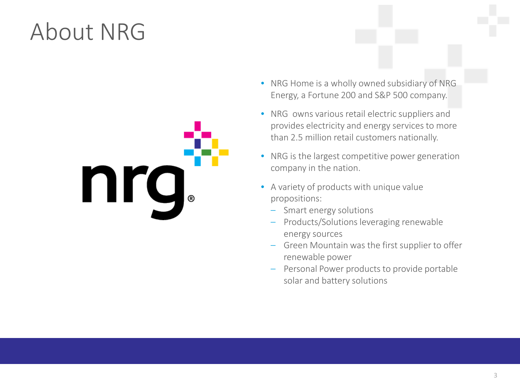## About NRG



- NRG Home is a wholly owned subsidiary of NRG Energy, a Fortune 200 and S&P 500 company.
- NRG owns various retail electric suppliers and provides electricity and energy services to more than 2.5 million retail customers nationally.
- NRG is the largest competitive power generation company in the nation.
- A variety of products with unique value propositions:
	- Smart energy solutions
	- Products/Solutions leveraging renewable energy sources
	- Green Mountain was the first supplier to offer renewable power
	- Personal Power products to provide portable solar and battery solutions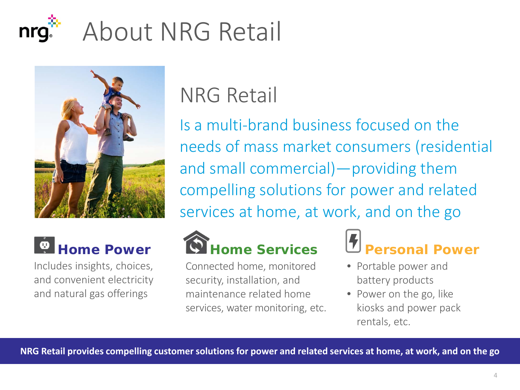



Includes insights, choices, and convenient electricity and natural gas offerings

### NRG Retail

Is a multi-brand business focused on the needs of mass market consumers (residential and small commercial)—providing them compelling solutions for power and related services at home, at work, and on the go



Connected home, monitored security, installation, and maintenance related home services, water monitoring, etc.



- Portable power and battery products
- Power on the go, like kiosks and power pack rentals, etc.

**NRG Retail provides compelling customer solutions for power and related services at home, at work, and on the go**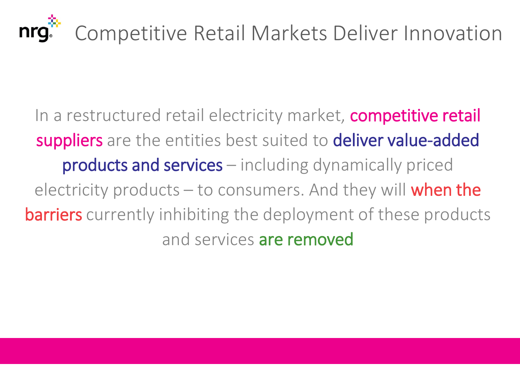

In a restructured retail electricity market, competitive retail suppliers are the entities best suited to deliver value-added products and services – including dynamically priced electricity products  $-$  to consumers. And they will when the **barriers** currently inhibiting the deployment of these products and services are removed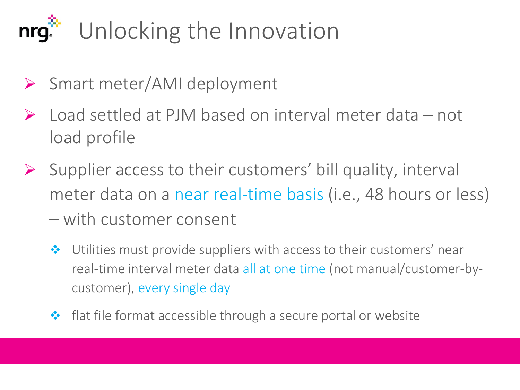### Unlocking the Innovationnrg.

- ▶ Smart meter/AMI deployment
- $\triangleright$  Load settled at PJM based on interval meter data not load profile
- $\triangleright$  Supplier access to their customers' bill quality, interval meter data on a near real-time basis (i.e., 48 hours or less) – with customer consent
	- ◆ Utilities must provide suppliers with access to their customers' near real-time interval meter data all at one time (not manual/customer-bycustomer), every single day
	- ◆ flat file format accessible through a secure portal or website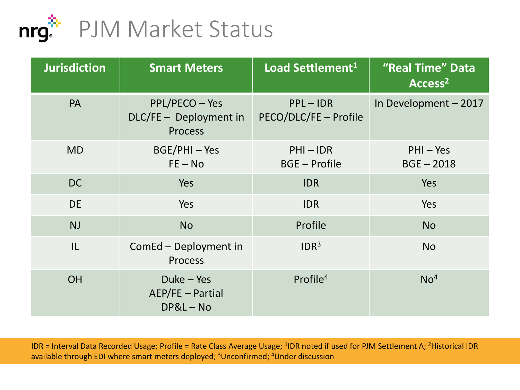

| <b>Jurisdiction</b> | <b>Smart Meters</b>                                        | Load Settlement <sup>1</sup>        | "Real Time" Data<br>Access <sup>2</sup> |
|---------------------|------------------------------------------------------------|-------------------------------------|-----------------------------------------|
| <b>PA</b>           | PPL/PECO - Yes<br>DLC/FE - Deployment in<br><b>Process</b> | PPL-IDR<br>PECO/DLC/FE - Profile    | In Development - 2017                   |
| <b>MD</b>           | BGE/PHI-Yes<br>$FE - No$                                   | $PHI - IDR$<br><b>BGE - Profile</b> | $PHI - Yes$<br>$BGE - 2018$             |
| <b>DC</b>           | Yes                                                        | <b>IDR</b>                          | Yes                                     |
| <b>DE</b>           | Yes                                                        | <b>IDR</b>                          | Yes                                     |
| <b>NJ</b>           | <b>No</b>                                                  | Profile                             | <b>No</b>                               |
| IL                  | ComEd - Deployment in<br><b>Process</b>                    | IDR <sup>3</sup>                    | <b>No</b>                               |
| <b>OH</b>           | Duke - Yes<br>AEP/FE - Partial<br>$DP&L-No$                | Profile $4$                         | No <sup>4</sup>                         |

IDR = Interval Data Recorded Usage; Profile = Rate Class Average Usage; <sup>1</sup>IDR noted if used for PJM Settlement A; <sup>2</sup>Historical IDR available through EDI where smart meters deployed; <sup>3</sup>Unconfirmed; <sup>4</sup>Under discussion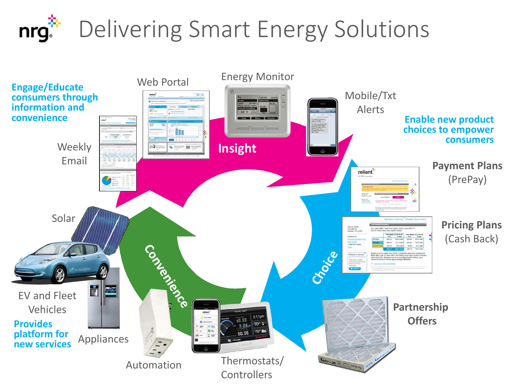### Delivering Smart Energy Solutions nrg.

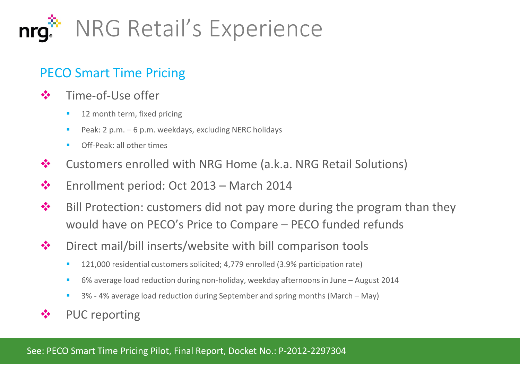

#### PECO Smart Time Pricing

- ❖ Time-of-Use offer
	- 12 month term, fixed pricing
	- Peak:  $2$  p.m.  $-6$  p.m. weekdays, excluding NERC holidays
	- Off-Peak: all other times
- ❖ Customers enrolled with NRG Home (a.k.a. NRG Retail Solutions)
- Enrollment period: Oct 2013 March 2014
- $\bullet$  Bill Protection: customers did not pay more during the program than they would have on PECO's Price to Compare – PECO funded refunds
- $\triangle$  Direct mail/bill inserts/website with bill comparison tools
	- <sup>1</sup> 121,000 residential customers solicited; 4,779 enrolled (3.9% participation rate)
	- 6% average load reduction during non-holiday, weekday afternoons in June August 2014
	- 3% 4% average load reduction during September and spring months (March May)
- ❖ PUC reporting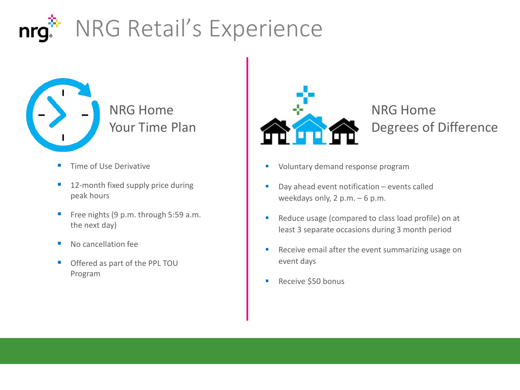### NRG Retail's Experience nrq



NRG Home Your Time Plan

- **Time of Use Derivative**
- 12-month fixed supply price during peak hours
- Free nights  $(9 \text{ p.m.} \text{ through } 5:59 \text{ a.m.})$ the next day)
- No cancellation fee
- Offered as part of the PPL TOU Program



NRG Home Degrees of Difference

- **Voluntary demand response program**
- Day ahead event notification events called weekdays only, 2 p.m. – 6 p.m.
- Reduce usage (compared to class load profile) on at least 3 separate occasions during 3 month period
- Receive email after the event summarizing usage on event days
- **Receive \$50 bonus**